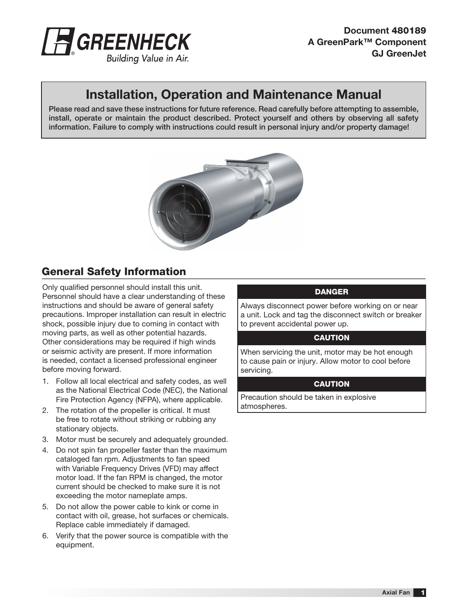

# Installation, Operation and Maintenance Manual

Please read and save these instructions for future reference. Read carefully before attempting to assemble, install, operate or maintain the product described. Protect yourself and others by observing all safety information. Failure to comply with instructions could result in personal injury and/or property damage!



# General Safety Information

Only qualified personnel should install this unit. Personnel should have a clear understanding of these instructions and should be aware of general safety precautions. Improper installation can result in electric shock, possible injury due to coming in contact with moving parts, as well as other potential hazards. Other considerations may be required if high winds or seismic activity are present. If more information is needed, contact a licensed professional engineer before moving forward.

- 1. Follow all local electrical and safety codes, as well as the National Electrical Code (NEC), the National Fire Protection Agency (NFPA), where applicable.
- 2. The rotation of the propeller is critical. It must be free to rotate without striking or rubbing any stationary objects.
- 3. Motor must be securely and adequately grounded.
- 4. Do not spin fan propeller faster than the maximum cataloged fan rpm. Adjustments to fan speed with Variable Frequency Drives (VFD) may affect motor load. If the fan RPM is changed, the motor current should be checked to make sure it is not exceeding the motor nameplate amps.
- 5. Do not allow the power cable to kink or come in contact with oil, grease, hot surfaces or chemicals. Replace cable immediately if damaged.
- 6. Verify that the power source is compatible with the equipment.

## **DANGER**

Always disconnect power before working on or near a unit. Lock and tag the disconnect switch or breaker to prevent accidental power up.

#### **CAUTION**

When servicing the unit, motor may be hot enough to cause pain or injury. Allow motor to cool before servicing.

#### **CAUTION**

Precaution should be taken in explosive atmospheres.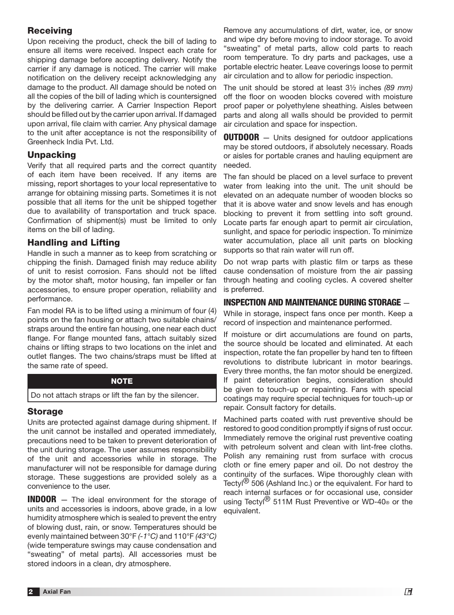## **Receiving**

Upon receiving the product, check the bill of lading to ensure all items were received. Inspect each crate for shipping damage before accepting delivery. Notify the carrier if any damage is noticed. The carrier will make notification on the delivery receipt acknowledging any damage to the product. All damage should be noted on all the copies of the bill of lading which is countersigned by the delivering carrier. A Carrier Inspection Report should be filled out by the carrier upon arrival. If damaged upon arrival, file claim with carrier. Any physical damage to the unit after acceptance is not the responsibility of Greenheck India Pvt. Ltd.

## **Unpacking**

Verify that all required parts and the correct quantity of each item have been received. If any items are missing, report shortages to your local representative to arrange for obtaining missing parts. Sometimes it is not possible that all items for the unit be shipped together due to availability of transportation and truck space. Confirmation of shipment(s) must be limited to only items on the bill of lading.

#### Handling and Lifting

Handle in such a manner as to keep from scratching or chipping the finish. Damaged finish may reduce ability of unit to resist corrosion. Fans should not be lifted by the motor shaft, motor housing, fan impeller or fan accessories, to ensure proper operation, reliability and performance.

Fan model RA is to be lifted using a minimum of four (4) points on the fan housing or attach two suitable chains/ straps around the entire fan housing, one near each duct flange. For flange mounted fans, attach suitably sized chains or lifting straps to two locations on the inlet and outlet flanges. The two chains/straps must be lifted at the same rate of speed.

#### **NOTE**

#### Do not attach straps or lift the fan by the silencer.

#### Storage

Units are protected against damage during shipment. If the unit cannot be installed and operated immediately, precautions need to be taken to prevent deterioration of the unit during storage. The user assumes responsibility of the unit and accessories while in storage. The manufacturer will not be responsible for damage during storage. These suggestions are provided solely as a convenience to the user.

**INDOOR** – The ideal environment for the storage of units and accessories is indoors, above grade, in a low humidity atmosphere which is sealed to prevent the entry of blowing dust, rain, or snow. Temperatures should be evenly maintained between 30°F *(-1°C)* and 110°F *(43°C)* (wide temperature swings may cause condensation and "sweating" of metal parts). All accessories must be stored indoors in a clean, dry atmosphere.

Remove any accumulations of dirt, water, ice, or snow and wipe dry before moving to indoor storage. To avoid "sweating" of metal parts, allow cold parts to reach room temperature. To dry parts and packages, use a portable electric heater. Leave coverings loose to permit air circulation and to allow for periodic inspection.

The unit should be stored at least 3½ inches *(89 mm)* off the floor on wooden blocks covered with moisture proof paper or polyethylene sheathing. Aisles between parts and along all walls should be provided to permit air circulation and space for inspection.

**OUTDOOR** – Units designed for outdoor applications may be stored outdoors, if absolutely necessary. Roads or aisles for portable cranes and hauling equipment are needed.

The fan should be placed on a level surface to prevent water from leaking into the unit. The unit should be elevated on an adequate number of wooden blocks so that it is above water and snow levels and has enough blocking to prevent it from settling into soft ground. Locate parts far enough apart to permit air circulation, sunlight, and space for periodic inspection. To minimize water accumulation, place all unit parts on blocking supports so that rain water will run off.

Do not wrap parts with plastic film or tarps as these cause condensation of moisture from the air passing through heating and cooling cycles. A covered shelter is preferred.

## INSPECTION AND MAINTENANCE DURING STORAGE —

While in storage, inspect fans once per month. Keep a record of inspection and maintenance performed.

If moisture or dirt accumulations are found on parts, the source should be located and eliminated. At each inspection, rotate the fan propeller by hand ten to fifteen revolutions to distribute lubricant in motor bearings. Every three months, the fan motor should be energized. If paint deterioration begins, consideration should be given to touch-up or repainting. Fans with special coatings may require special techniques for touch-up or repair. Consult factory for details.

Machined parts coated with rust preventive should be restored to good condition promptly if signs of rust occur. Immediately remove the original rust preventive coating with petroleum solvent and clean with lint-free cloths. Polish any remaining rust from surface with crocus cloth or fine emery paper and oil. Do not destroy the continuity of the surfaces. Wipe thoroughly clean with Tectyl<sup>®</sup> 506 (Ashland Inc.) or the equivalent. For hard to reach internal surfaces or for occasional use, consider using Tectyl<sup>®</sup> 511M Rust Preventive or WD-40<sup>®</sup> or the equivalent.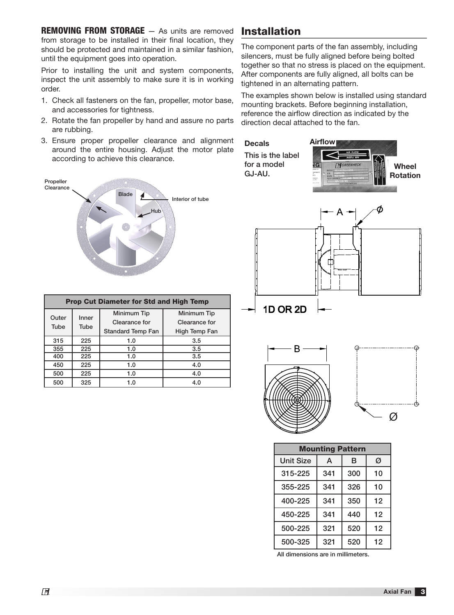**REMOVING FROM STORAGE** – As units are removed from storage to be installed in their final location, they should be protected and maintained in a similar fashion, until the equipment goes into operation.

Prior to installing the unit and system components, inspect the unit assembly to make sure it is in working order.

- 1. Check all fasteners on the fan, propeller, motor base, and accessories for tightness.
- 2. Rotate the fan propeller by hand and assure no parts are rubbing.
- 3. Ensure proper propeller clearance and alignment around the entire housing. Adjust the motor plate according to achieve this clearance.



| <b>Prop Cut Diameter for Std and High Temp</b> |               |                          |               |  |  |  |  |  |
|------------------------------------------------|---------------|--------------------------|---------------|--|--|--|--|--|
| Outer<br>Tube                                  | Inner<br>Tube | Minimum Tip              | Minimum Tip   |  |  |  |  |  |
|                                                |               | Clearance for            | Clearance for |  |  |  |  |  |
|                                                |               | <b>Standard Temp Fan</b> | High Temp Fan |  |  |  |  |  |
| 315                                            | 225           | 1.0                      | 3.5           |  |  |  |  |  |
| 355                                            | 225           | 1.0                      | 3.5           |  |  |  |  |  |
| 400                                            | 225           | 1.0                      | 3.5           |  |  |  |  |  |
| 450                                            | 225           | 1.0                      | 4.0           |  |  |  |  |  |
| 500                                            | 225           | 1.0                      | 4.0           |  |  |  |  |  |
| 500                                            | 325           | 1.0                      | 4.0           |  |  |  |  |  |

# Installation

The component parts of the fan assembly, including silencers, must be fully aligned before being bolted together so that no stress is placed on the equipment. After components are fully aligned, all bolts can be tightened in an alternating pattern.

The examples shown below is installed using standard mounting brackets. Before beginning installation, reference the airflow direction as indicated by the direction decal attached to the fan.







 $\varnothing$ 

| <b>Mounting Pattern</b> |     |     |    |  |  |
|-------------------------|-----|-----|----|--|--|
| <b>Unit Size</b>        | A   | в   | Ø  |  |  |
| 315-225                 | 341 | 300 | 10 |  |  |
| 355-225                 | 341 | 326 | 10 |  |  |
| 400-225                 | 341 | 350 | 12 |  |  |
| 450-225                 | 341 | 440 | 12 |  |  |
| 500-225                 | 321 | 520 | 12 |  |  |
| 500-325                 | 321 | 520 | 12 |  |  |

All dimensions are in millimeters.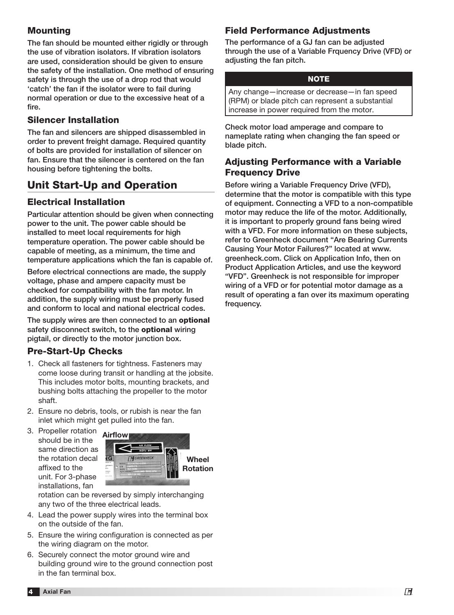## **Mounting**

The fan should be mounted either rigidly or through the use of vibration isolators. If vibration isolators are used, consideration should be given to ensure the safety of the installation. One method of ensuring safety is through the use of a drop rod that would 'catch' the fan if the isolator were to fail during normal operation or due to the excessive heat of a fire.

## Silencer Installation

The fan and silencers are shipped disassembled in order to prevent freight damage. Required quantity of bolts are provided for installation of silencer on fan. Ensure that the silencer is centered on the fan housing before tightening the bolts.

## Unit Start-Up and Operation

## Electrical Installation

Particular attention should be given when connecting power to the unit. The power cable should be installed to meet local requirements for high temperature operation. The power cable should be capable of meeting, as a minimum, the time and temperature applications which the fan is capable of.

Before electrical connections are made, the supply voltage, phase and ampere capacity must be checked for compatibility with the fan motor. In addition, the supply wiring must be properly fused and conform to local and national electrical codes.

The supply wires are then connected to an **optional** safety disconnect switch, to the **optional** wiring pigtail, or directly to the motor junction box.

## Pre-Start-Up Checks

- 1. Check all fasteners for tightness. Fasteners may come loose during transit or handling at the jobsite. This includes motor bolts, mounting brackets, and bushing bolts attaching the propeller to the motor shaft.
- 2. Ensure no debris, tools, or rubish is near the fan inlet which might get pulled into the fan.
- 3. Propeller rotation should be in the same direction as the rotation decal affixed to the unit. For 3-phase installations, fan



rotation can be reversed by simply interchanging any two of the three electrical leads.

- 4. Lead the power supply wires into the terminal box on the outside of the fan.
- 5. Ensure the wiring configuration is connected as per the wiring diagram on the motor.
- 6. Securely connect the motor ground wire and building ground wire to the ground connection post in the fan terminal box.

## Field Performance Adjustments

The performance of a GJ fan can be adjusted through the use of a Variable Frquency Drive (VFD) or adjusting the fan pitch.

#### **NOTE**

Any change—increase or decrease—in fan speed (RPM) or blade pitch can represent a substantial increase in power required from the motor.

Check motor load amperage and compare to nameplate rating when changing the fan speed or blade pitch.

## Adjusting Performance with a Variable Frequency Drive

Before wiring a Variable Frequency Drive (VFD), determine that the motor is compatible with this type of equipment. Connecting a VFD to a non-compatible motor may reduce the life of the motor. Additionally, it is important to properly ground fans being wired with a VFD. For more information on these subjects, refer to Greenheck document "Are Bearing Currents Causing Your Motor Failures?" located at www. greenheck.com. Click on Application Info, then on Product Application Articles, and use the keyword "VFD". Greenheck is not responsible for improper wiring of a VFD or for potential motor damage as a result of operating a fan over its maximum operating frequency.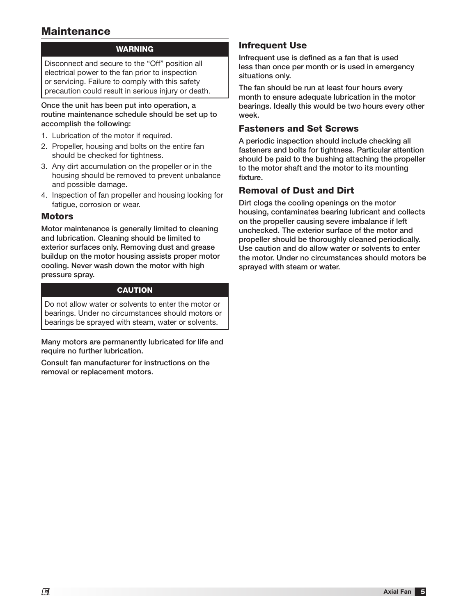## **Maintenance**

## WARNING

Disconnect and secure to the "Off" position all electrical power to the fan prior to inspection or servicing. Failure to comply with this safety precaution could result in serious injury or death.

#### Once the unit has been put into operation, a routine maintenance schedule should be set up to accomplish the following:

- 1. Lubrication of the motor if required.
- 2. Propeller, housing and bolts on the entire fan should be checked for tightness.
- 3. Any dirt accumulation on the propeller or in the housing should be removed to prevent unbalance and possible damage.
- 4. Inspection of fan propeller and housing looking for fatigue, corrosion or wear.

### **Motors**

Motor maintenance is generally limited to cleaning and lubrication. Cleaning should be limited to exterior surfaces only. Removing dust and grease buildup on the motor housing assists proper motor cooling. Never wash down the motor with high pressure spray.

### **CAUTION**

Do not allow water or solvents to enter the motor or bearings. Under no circumstances should motors or bearings be sprayed with steam, water or solvents.

Many motors are permanently lubricated for life and require no further lubrication.

Consult fan manufacturer for instructions on the removal or replacement motors.

## Infrequent Use

Infrequent use is defined as a fan that is used less than once per month or is used in emergency situations only.

The fan should be run at least four hours every month to ensure adequate lubrication in the motor bearings. Ideally this would be two hours every other week.

### Fasteners and Set Screws

A periodic inspection should include checking all fasteners and bolts for tightness. Particular attention should be paid to the bushing attaching the propeller to the motor shaft and the motor to its mounting fixture.

## Removal of Dust and Dirt

Dirt clogs the cooling openings on the motor housing, contaminates bearing lubricant and collects on the propeller causing severe imbalance if left unchecked. The exterior surface of the motor and propeller should be thoroughly cleaned periodically. Use caution and do allow water or solvents to enter the motor. Under no circumstances should motors be sprayed with steam or water.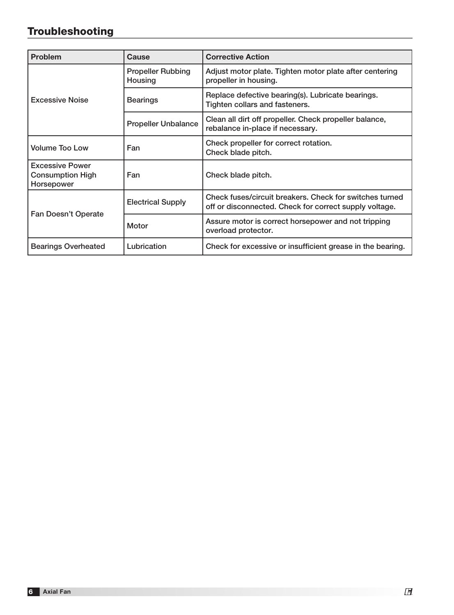# Troubleshooting

| <b>Problem</b>                                                  | <b>Cause</b>                                                                                           | <b>Corrective Action</b>                                                                                          |  |
|-----------------------------------------------------------------|--------------------------------------------------------------------------------------------------------|-------------------------------------------------------------------------------------------------------------------|--|
|                                                                 | <b>Propeller Rubbing</b><br>Housing                                                                    | Adjust motor plate. Tighten motor plate after centering<br>propeller in housing.                                  |  |
| <b>Excessive Noise</b>                                          | Replace defective bearing(s). Lubricate bearings.<br><b>Bearings</b><br>Tighten collars and fasteners. |                                                                                                                   |  |
|                                                                 | <b>Propeller Unbalance</b>                                                                             | Clean all dirt off propeller. Check propeller balance,<br>rebalance in-place if necessary.                        |  |
| <b>Volume Too Low</b>                                           | Fan                                                                                                    | Check propeller for correct rotation.<br>Check blade pitch.                                                       |  |
| <b>Excessive Power</b><br><b>Consumption High</b><br>Horsepower | Fan                                                                                                    | Check blade pitch.                                                                                                |  |
|                                                                 | <b>Electrical Supply</b>                                                                               | Check fuses/circuit breakers. Check for switches turned<br>off or disconnected. Check for correct supply voltage. |  |
| Fan Doesn't Operate                                             | Motor                                                                                                  | Assure motor is correct horsepower and not tripping<br>overload protector.                                        |  |
| <b>Bearings Overheated</b>                                      | Lubrication                                                                                            | Check for excessive or insufficient grease in the bearing.                                                        |  |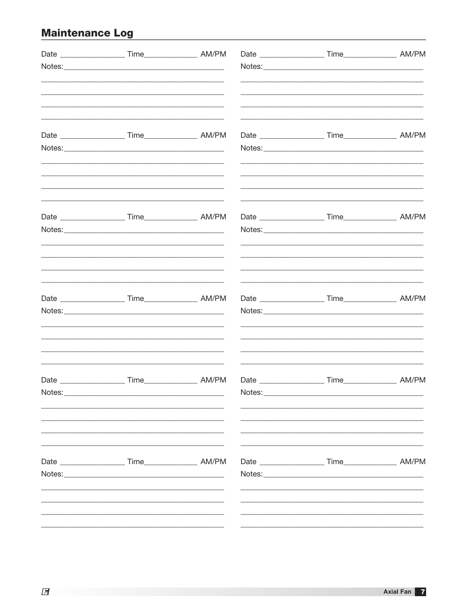# **Maintenance Log example 2006**

| Notes: | <u> 1980 - Jan Barbara, martxa al II-lea (h. 1980).</u> |  |  |
|--------|---------------------------------------------------------|--|--|
|        |                                                         |  |  |
|        |                                                         |  |  |